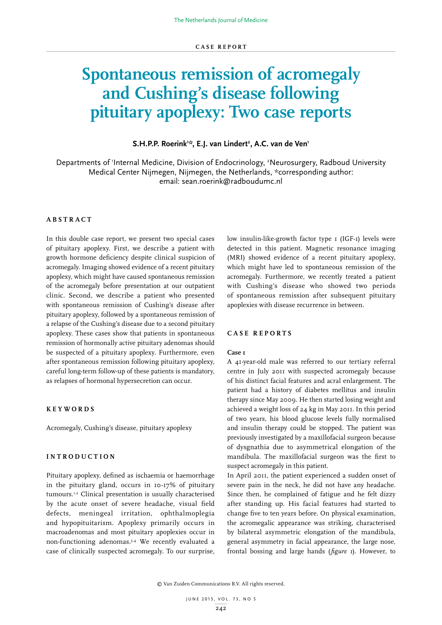# **Spontaneous remission of acromegaly and Cushing's disease following pituitary apoplexy: Two case reports**

## **S.H.P.P. Roerink1 \*, E.J. van Lindert2 , A.C. van de Ven1**

Departments of 'Internal Medicine, Division of Endocrinology, <sup>2</sup>Neurosurgery, Radboud University Medical Center Nijmegen, Nijmegen, the Netherlands, \*corresponding author: email: sean.roerink@radboudumc.nl

## **ABSTRACT**

In this double case report, we present two special cases of pituitary apoplexy. First, we describe a patient with growth hormone deficiency despite clinical suspicion of acromegaly. Imaging showed evidence of a recent pituitary apoplexy, which might have caused spontaneous remission of the acromegaly before presentation at our outpatient clinic. Second, we describe a patient who presented with spontaneous remission of Cushing's disease after pituitary apoplexy, followed by a spontaneous remission of a relapse of the Cushing's disease due to a second pituitary apoplexy. These cases show that patients in spontaneous remission of hormonally active pituitary adenomas should be suspected of a pituitary apoplexy. Furthermore, even after spontaneous remission following pituitary apoplexy, careful long-term follow-up of these patients is mandatory, as relapses of hormonal hypersecretion can occur.

#### **KEYWORDS**

Acromegaly, Cushing's disease, pituitary apoplexy

## **INTRODUCTION**

Pituitary apoplexy, defined as ischaemia or haemorrhage in the pituitary gland, occurs in 10-17% of pituitary tumours.1,2 Clinical presentation is usually characterised by the acute onset of severe headache, visual field defects, meningeal irritation, ophthalmoplegia and hypopituitarism. Apoplexy primarily occurs in macroadenomas and most pituitary apoplexies occur in non-functioning adenomas.3,4 We recently evaluated a case of clinically suspected acromegaly. To our surprise,

low insulin-like-growth factor type 1 (IGF-1) levels were detected in this patient. Magnetic resonance imaging (MRI) showed evidence of a recent pituitary apoplexy, which might have led to spontaneous remission of the acromegaly. Furthermore, we recently treated a patient with Cushing's disease who showed two periods of spontaneous remission after subsequent pituitary apoplexies with disease recurrence in between.

#### **CASE REPORTS**

#### **Case 1**

A 41-year-old male was referred to our tertiary referral centre in July 2011 with suspected acromegaly because of his distinct facial features and acral enlargement. The patient had a history of diabetes mellitus and insulin therapy since May 2009. He then started losing weight and achieved a weight loss of 24 kg in May 2011. In this period of two years, his blood glucose levels fully normalised and insulin therapy could be stopped. The patient was previously investigated by a maxillofacial surgeon because of dysgnathia due to asymmetrical elongation of the mandibula. The maxillofacial surgeon was the first to suspect acromegaly in this patient.

In April 2011, the patient experienced a sudden onset of severe pain in the neck, he did not have any headache. Since then, he complained of fatigue and he felt dizzy after standing up. His facial features had started to change five to ten years before. On physical examination, the acromegalic appearance was striking, characterised by bilateral asymmetric elongation of the mandibula, general asymmetry in facial appearance, the large nose, frontal bossing and large hands (*figure 1*). However, to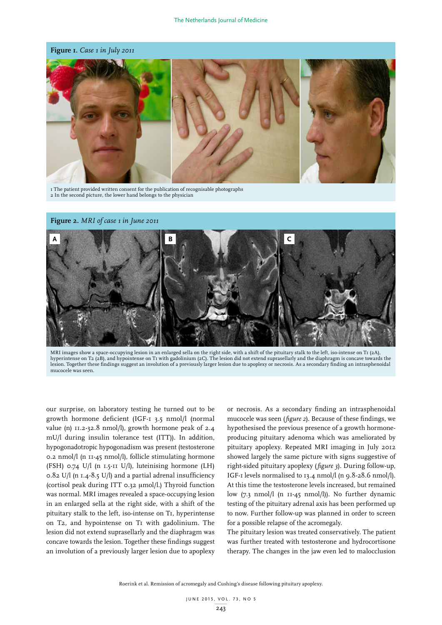**Figure 1.** *Case 1 in July 2011*



1 The patient provided written consent for the publication of recognisable photographs 2 In the second picture, the lower hand belongs to the physician





MRI images show a space-occupying lesion in an enlarged sella on the right side, with a shift of the pituitary stalk to the left, iso-intense on T1 (2A), hyperintense on T2 (2B), and hypointense on T1 with gadolinium (2C). The lesion did not extend suprasellarly and the diaphragm is concave towards the lesion. Together these findings suggest an involution of a previously larger lesion due to apoplexy or necrosis. As a secondary finding an intrasphenoidal mucocele was seen.

our surprise, on laboratory testing he turned out to be growth hormone deficient (IGF-1 3.5 nmol/l (normal value (n) 11.2-32.8 nmol/l), growth hormone peak of 2.4 mU/l during insulin tolerance test (ITT)). In addition, hypogonadotropic hypogonadism was present (testosterone 0.2 nmol/l (n 11-45 nmol/l), follicle stimulating hormone (FSH) 0.74 U/l (n 1.5-11 U/l), luteinising hormone (LH) 0.82 U/l (n 1.4-8.5 U/l) and a partial adrenal insufficiency (cortisol peak during ITT 0.32 µmol/l.) Thyroid function was normal. MRI images revealed a space-occupying lesion in an enlarged sella at the right side, with a shift of the pituitary stalk to the left, iso-intense on T1, hyperintense on T2, and hypointense on T1 with gadolinium. The lesion did not extend suprasellarly and the diaphragm was concave towards the lesion. Together these findings suggest an involution of a previously larger lesion due to apoplexy

or necrosis. As a secondary finding an intrasphenoidal mucocele was seen (*figure 2*). Because of these findings, we hypothesised the previous presence of a growth hormoneproducing pituitary adenoma which was ameliorated by pituitary apoplexy. Repeated MRI imaging in July 2012 showed largely the same picture with signs suggestive of right-sided pituitary apoplexy (*figure 3*). During follow-up, IGF-1 levels normalised to 13.4 nmol/l (n 9.8-28.6 nmol/l). At this time the testosterone levels increased, but remained low (7.3 nmol/l (n 11-45 nmol/l)). No further dynamic testing of the pituitary adrenal axis has been performed up to now. Further follow-up was planned in order to screen for a possible relapse of the acromegaly.

The pituitary lesion was treated conservatively. The patient was further treated with testosterone and hydrocortisone therapy. The changes in the jaw even led to malocclusion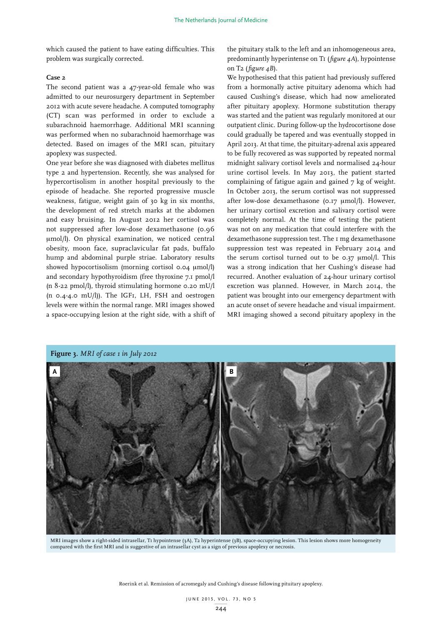which caused the patient to have eating difficulties. This problem was surgically corrected.

# **Case 2**

The second patient was a 47-year-old female who was admitted to our neurosurgery department in September 2012 with acute severe headache. A computed tomography (CT) scan was performed in order to exclude a subarachnoid haemorrhage. Additional MRI scanning was performed when no subarachnoid haemorrhage was detected. Based on images of the MRI scan, pituitary apoplexy was suspected.

One year before she was diagnosed with diabetes mellitus type 2 and hypertension. Recently, she was analysed for hypercortisolism in another hospital previously to the episode of headache. She reported progressive muscle weakness, fatigue, weight gain of 30 kg in six months, the development of red stretch marks at the abdomen and easy bruising. In August 2012 her cortisol was not suppressed after low-dose dexamethasone (0.96 µmol/l). On physical examination, we noticed central obesity, moon face, supraclavicular fat pads, buffalo hump and abdominal purple striae. Laboratory results showed hypocortisolism (morning cortisol 0.04 µmol/l) and secondary hypothyroidism (free thyroxine 7.1 pmol/l (n 8-22 pmol/l), thyroid stimulating hormone 0.20 mU/l (n 0.4-4.0 mU/l)). The IGF1, LH, FSH and oestrogen levels were within the normal range. MRI images showed a space-occupying lesion at the right side, with a shift of the pituitary stalk to the left and an inhomogeneous area, predominantly hyperintense on T1 (*figure 4A*), hypointense on T2 (*figure 4B*).

We hypothesised that this patient had previously suffered from a hormonally active pituitary adenoma which had caused Cushing's disease, which had now ameliorated after pituitary apoplexy. Hormone substitution therapy was started and the patient was regularly monitored at our outpatient clinic. During follow-up the hydrocortisone dose could gradually be tapered and was eventually stopped in April 2013. At that time, the pituitary-adrenal axis appeared to be fully recovered as was supported by repeated normal midnight salivary cortisol levels and normalised 24-hour urine cortisol levels. In May 2013, the patient started complaining of fatigue again and gained 7 kg of weight. In October 2013, the serum cortisol was not suppressed after low-dose dexamethasone (0.17 µmol/l). However, her urinary cortisol excretion and salivary cortisol were completely normal. At the time of testing the patient was not on any medication that could interfere with the dexamethasone suppression test. The 1 mg dexamethasone suppression test was repeated in February 2014 and the serum cortisol turned out to be 0.37 µmol/l. This was a strong indication that her Cushing's disease had recurred. Another evaluation of 24-hour urinary cortisol excretion was planned. However, in March 2014, the patient was brought into our emergency department with an acute onset of severe headache and visual impairment. MRI imaging showed a second pituitary apoplexy in the



MRI images show a right-sided intrasellar, T1 hypointense (3A), T2 hyperintense (3B), space-occupying lesion. This lesion shows more homogeneity compared with the first MRI and is suggestive of an intrasellar cyst as a sign of previous apoplexy or necrosis.

Roerink et al. Remission of acromegaly and Cushing's disease following pituitary apoplexy.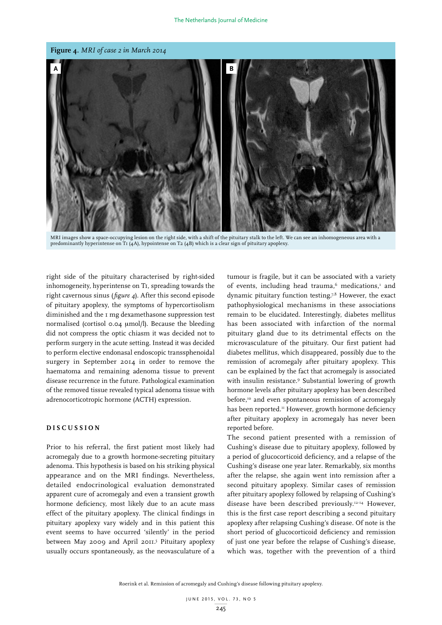

MRI images show a space-occupying lesion on the right side, with a shift of the pituitary stalk to the left. We can see an inhomogeneous area with a predominantly hyperintense on T<sub>1</sub> (4A), hypointense on T<sub>2</sub> (4B) which is a clear sign of pituitary apoplexy.

right side of the pituitary characterised by right-sided inhomogeneity, hyperintense on T1, spreading towards the right cavernous sinus (*figure 4*). After this second episode of pituitary apoplexy, the symptoms of hypercortisolism diminished and the 1 mg dexamethasone suppression test normalised (cortisol 0.04 µmol/l). Because the bleeding did not compress the optic chiasm it was decided not to perform surgery in the acute setting. Instead it was decided to perform elective endonasal endoscopic transsphenoidal surgery in September 2014 in order to remove the haematoma and remaining adenoma tissue to prevent disease recurrence in the future. Pathological examination of the removed tissue revealed typical adenoma tissue with adrenocorticotropic hormone (ACTH) expression.

## **DISCUSSION**

Prior to his referral, the first patient most likely had acromegaly due to a growth hormone-secreting pituitary adenoma. This hypothesis is based on his striking physical appearance and on the MRI findings. Nevertheless, detailed endocrinological evaluation demonstrated apparent cure of acromegaly and even a transient growth hormone deficiency, most likely due to an acute mass effect of the pituitary apoplexy. The clinical findings in pituitary apoplexy vary widely and in this patient this event seems to have occurred 'silently' in the period between May 2009 and April 2011.<sup>5</sup> Pituitary apoplexy usually occurs spontaneously, as the neovasculature of a

tumour is fragile, but it can be associated with a variety of events, including head trauma, $6$  medications, $1$  and dynamic pituitary function testing.<sup>7,8</sup> However, the exact pathophysiological mechanisms in these associations remain to be elucidated. Interestingly, diabetes mellitus has been associated with infarction of the normal pituitary gland due to its detrimental effects on the microvasculature of the pituitary. Our first patient had diabetes mellitus, which disappeared, possibly due to the remission of acromegaly after pituitary apoplexy. This can be explained by the fact that acromegaly is associated with insulin resistance.<sup>9</sup> Substantial lowering of growth hormone levels after pituitary apoplexy has been described before, $10$  and even spontaneous remission of acromegaly has been reported.<sup>11</sup> However, growth hormone deficiency after pituitary apoplexy in acromegaly has never been reported before.

The second patient presented with a remission of Cushing's disease due to pituitary apoplexy, followed by a period of glucocorticoid deficiency, and a relapse of the Cushing's disease one year later. Remarkably, six months after the relapse, she again went into remission after a second pituitary apoplexy. Similar cases of remission after pituitary apoplexy followed by relapsing of Cushing's disease have been described previously.12-14 However, this is the first case report describing a second pituitary apoplexy after relapsing Cushing's disease. Of note is the short period of glucocorticoid deficiency and remission of just one year before the relapse of Cushing's disease, which was, together with the prevention of a third